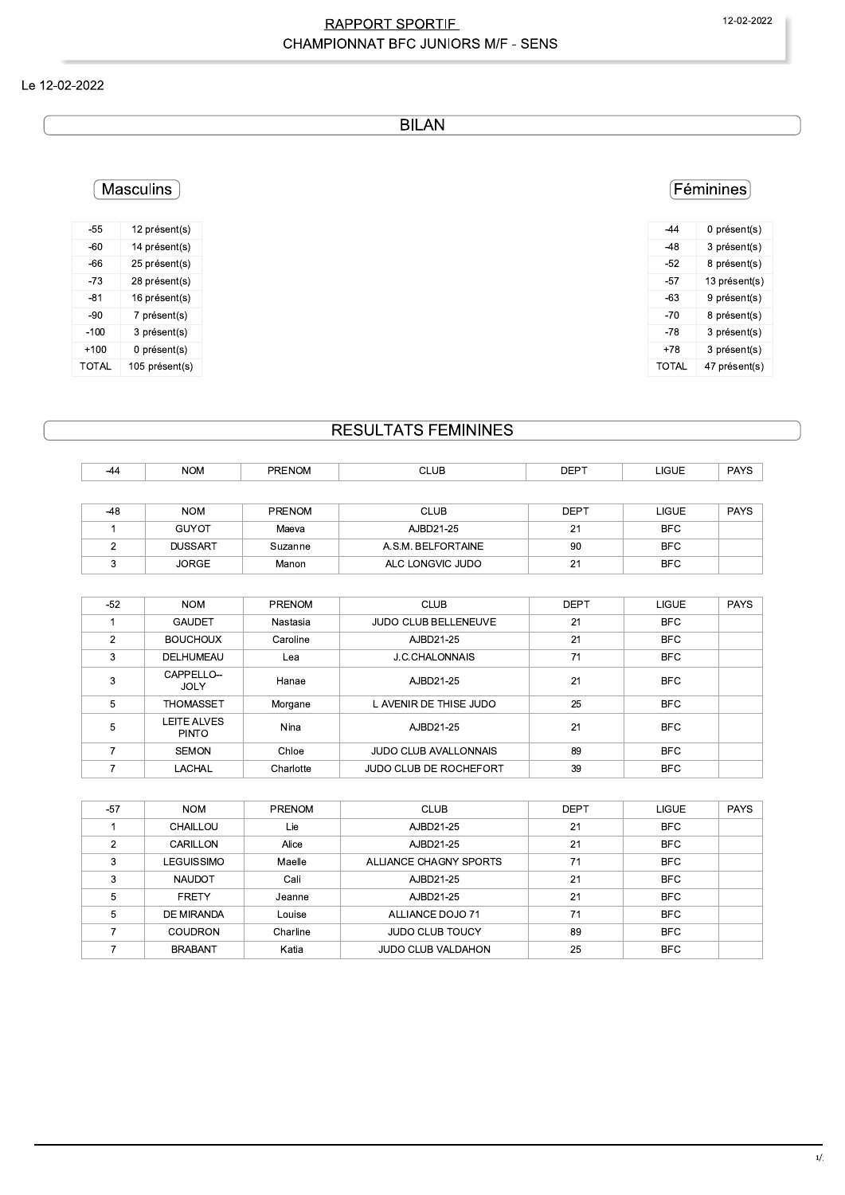## **RAPPORT SPORTIF** CHAMPIONNAT BFC JUNIORS M/F - SENS

### Le 12-02-2022

**BILAN** 

## (Féminines)

| 0 présent(s)  |
|---------------|
| 3 présent(s)  |
| 8 présent(s)  |
| 13 présent(s) |
| 9 présent(s)  |
| 8 présent(s)  |
| 3 présent(s)  |
| 3 présent(s)  |
| 47 présent(s) |
|               |

#### $-60$ 14 présent(s)  $-66$ 25 présent(s)  $-73$ 28 présent(s)  $-81$ 16 présent(s)  $-90$ 7 présent(s)  $-100$ 3 présent(s)  $+100$ 0 présent(s) **TOTAL** 105 présent(s)

[Masculins]

12 présent(s)

 $-55$ 

# **RESULTATS FEMININES**

| -44   | <b>NOM</b>     | <b>PRENOM</b> | <b>CLUB</b>        | <b>DEPT</b> | <b>LIGUE</b> | <b>PAYS</b> |
|-------|----------------|---------------|--------------------|-------------|--------------|-------------|
|       |                |               |                    |             |              |             |
| $-48$ | <b>NOM</b>     | <b>PRENOM</b> | <b>CLUB</b>        | <b>DEPT</b> | <b>LIGUE</b> | <b>PAYS</b> |
|       | <b>GUYOT</b>   | Maeva         | AJBD21-25          | 21          | <b>BFC</b>   |             |
|       | <b>DUSSART</b> | Suzanne       | A.S.M. BELFORTAINE | 90          | <b>BFC</b>   |             |
|       | <b>JORGE</b>   | Manon         | ALC LONGVIC JUDO   | 21          | <b>BFC</b>   |             |

| $-52$ | <b>NOM</b>                  | <b>PRENOM</b> | <b>CLUB</b>                  | <b>DEPT</b> | <b>LIGUE</b> | <b>PAYS</b> |
|-------|-----------------------------|---------------|------------------------------|-------------|--------------|-------------|
|       | <b>GAUDET</b>               | Nastasia      | <b>JUDO CLUB BELLENEUVE</b>  | 21          | <b>BFC</b>   |             |
| 2     | <b>BOUCHOUX</b>             | Caroline      | AJBD21-25                    | 21          | <b>BFC</b>   |             |
| 3     | DELHUMEAU                   | Lea           | J.C.CHALONNAIS               | 71          | <b>BFC</b>   |             |
| 3     | CAPPELLO--<br><b>JOLY</b>   | Hanae         | AJBD21-25                    | 21          | <b>BFC</b>   |             |
| 5     | <b>THOMASSET</b>            | Morgane       | L AVENIR DE THISE JUDO       | 25          | <b>BFC</b>   |             |
| 5     | LEITE ALVES<br><b>PINTO</b> | Nina          | AJBD21-25                    | 21          | <b>BFC</b>   |             |
|       | <b>SEMON</b>                | Chloe         | <b>JUDO CLUB AVALLONNAIS</b> | 89          | <b>BFC</b>   |             |
|       | LACHAL                      | Charlotte     | JUDO CLUB DE ROCHEFORT       | 39          | <b>BFC</b>   |             |

| $-57$ | <b>NOM</b>     | <b>PRENOM</b> | <b>CLUB</b>               | <b>DEPT</b> | <b>LIGUE</b> | <b>PAYS</b> |
|-------|----------------|---------------|---------------------------|-------------|--------------|-------------|
|       | CHAILLOU       | Lie           | AJBD21-25                 | 21          | <b>BFC</b>   |             |
| 2     | CARILLON       | Alice         | AJBD21-25                 | 21          | <b>BFC</b>   |             |
| 3     | LEGUISSIMO     | Maelle        | ALLIANCE CHAGNY SPORTS    | 71          | <b>BFC</b>   |             |
|       | <b>NAUDOT</b>  | Cali          | AJBD21-25                 | 21          | <b>BFC</b>   |             |
| 5     | <b>FRETY</b>   | Jeanne        | AJBD21-25                 | 21          | <b>BFC</b>   |             |
| 5     | DE MIRANDA     | Louise        | ALLIANCE DOJO 71          | 71          | <b>BFC</b>   |             |
|       | <b>COUDRON</b> | Charline      | <b>JUDO CLUB TOUCY</b>    | 89          | <b>BFC</b>   |             |
|       | <b>BRABANT</b> | Katia         | <b>JUDO CLUB VALDAHON</b> | 25          | <b>BFC</b>   |             |
|       |                |               |                           |             |              |             |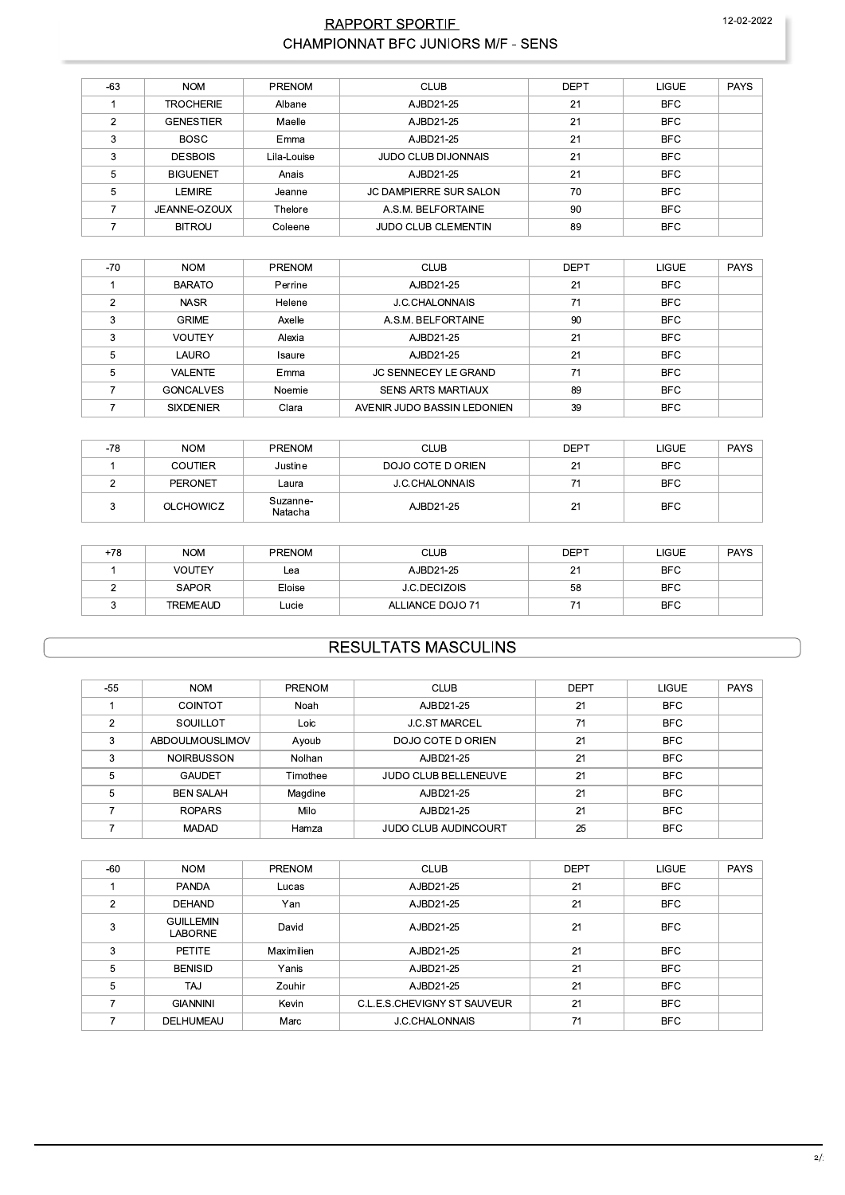## RAPPORT SPORTIF CHAMPIONNAT BFC JUNIORS M/F - SENS

| $-63$ | <b>NOM</b>       | <b>PRENOM</b> | <b>CLUB</b>                   | <b>DEPT</b> | <b>LIGUE</b> | <b>PAYS</b> |
|-------|------------------|---------------|-------------------------------|-------------|--------------|-------------|
|       | <b>TROCHERIE</b> | Albane        | AJBD21-25                     | 21          | <b>BFC</b>   |             |
| 2     | <b>GENESTIER</b> | Maelle        | AJBD21-25                     | 21          | <b>BFC</b>   |             |
| 3     | <b>BOSC</b>      | Emma          | AJBD21-25                     | 21          | <b>BFC</b>   |             |
| 3     | <b>DESBOIS</b>   | Lila-Louise   | <b>JUDO CLUB DIJONNAIS</b>    | 21          | <b>BFC</b>   |             |
| 5     | <b>BIGUENET</b>  | Anais         | AJBD21-25                     | 21          | <b>BFC</b>   |             |
| 5     | LEMIRE           | Jeanne        | <b>JC DAMPIERRE SUR SALON</b> | 70          | <b>BFC</b>   |             |
|       | JEANNE-OZOUX     | Thelore       | A.S.M. BELFORTAINE            | 90          | <b>BFC</b>   |             |
|       | <b>BITROU</b>    | Coleene       | <b>JUDO CLUB CLEMENTIN</b>    | 89          | <b>BFC</b>   |             |

| $-70$ | <b>NOM</b>       | <b>PRENOM</b> | <b>CLUB</b>                 | <b>DEPT</b> | <b>LIGUE</b> | <b>PAYS</b> |
|-------|------------------|---------------|-----------------------------|-------------|--------------|-------------|
|       | <b>BARATO</b>    | Perrine       | AJBD21-25                   | 21          | <b>BFC</b>   |             |
| ◠     | <b>NASR</b>      | Helene        | J.C.CHALONNAIS              | 71          | <b>BFC</b>   |             |
| 3     | <b>GRIME</b>     | Axelle        | A.S.M. BELFORTAINE          | 90          | <b>BFC</b>   |             |
| 3     | <b>VOUTEY</b>    | Alexia        | AJBD21-25                   | 21          | <b>BFC</b>   |             |
| 5     | LAURO            | Isaure        | AJBD21-25                   | 21          | <b>BFC</b>   |             |
| 5     | <b>VALENTE</b>   | Emma          | <b>JC SENNECEY LE GRAND</b> | 71          | <b>BFC</b>   |             |
|       | <b>GONCALVES</b> | Noemie        | <b>SENS ARTS MARTIAUX</b>   | 89          | <b>BFC</b>   |             |
|       | <b>SIXDENIER</b> | Clara         | AVENIR JUDO BASSIN LEDONIEN | 39          | <b>BFC</b>   |             |

| -78 | <b>NOM</b>       | <b>PRENOM</b>       | <b>CLUB</b>       | <b>DEPT</b> | <b>LIGUE</b> | <b>PAYS</b> |
|-----|------------------|---------------------|-------------------|-------------|--------------|-------------|
|     | <b>COUTIER</b>   | Justine             | DOJO COTE D ORIEN | 21          | <b>BFC</b>   |             |
|     | PERONET          | Laura               | J.C.CHALONNAIS    |             | <b>BFC</b>   |             |
|     | <b>OLCHOWICZ</b> | Suzanne-<br>Natacha | AJBD21-25         | 21          | <b>BFC</b>   |             |

| $+78$ | <b>NOM</b>      | <b>PRENOM</b> | <b>CLUB</b>         | <b>DEPT</b> | <b>LIGUE</b> | <b>PAYS</b> |
|-------|-----------------|---------------|---------------------|-------------|--------------|-------------|
|       | <b>VOUTEY</b>   | Lea           | AJBD21-25           | 21          | <b>BFC</b>   |             |
|       | <b>SAPOR</b>    | Eloise        | <b>J.C.DECIZOIS</b> | 58          | <b>BFC</b>   |             |
|       | <b>TREMEAUD</b> | Lucie         | ALLIANCE DOJO 71    | ۔ ۔         | <b>BFC</b>   |             |

## **RESULTATS MASCULINS**

| $-55$          | <b>NOM</b>             | PRENOM   | <b>CLUB</b>                 | <b>DEPT</b> | <b>LIGUE</b> | <b>PAYS</b> |
|----------------|------------------------|----------|-----------------------------|-------------|--------------|-------------|
|                | <b>COINTOT</b>         | Noah     | AJBD21-25                   | 21          | <b>BFC</b>   |             |
| $\mathfrak{p}$ | SOUILLOT               | Loic     | <b>J.C.ST MARCEL</b>        | 71          | <b>BFC</b>   |             |
| 3              | <b>ABDOULMOUSLIMOV</b> | Ayoub    | DOJO COTE D ORIEN           | 21          | <b>BFC</b>   |             |
| 3              | <b>NOIRBUSSON</b>      | Nolhan   | AJBD21-25                   | 21          | <b>BFC</b>   |             |
| 5              | GAUDET                 | Timothee | <b>JUDO CLUB BELLENEUVE</b> | 21          | <b>BFC</b>   |             |
| 5              | <b>BEN SALAH</b>       | Magdine  | AJBD21-25                   | 21          | <b>BFC</b>   |             |
|                | <b>ROPARS</b>          | Milo     | AJBD21-25                   | 21          | <b>BFC</b>   |             |
|                | <b>MADAD</b>           | Hamza    | <b>JUDO CLUB AUDINCOURT</b> | 25          | <b>BFC</b>   |             |

| $-60$ | <b>PAYS</b><br><b>LIGUE</b> | <b>DEPT</b> |
|-------|-----------------------------|-------------|
|       | <b>BFC</b>                  | 21          |
| 2     | <b>BFC</b>                  | 21          |
| 3     | <b>BFC</b>                  | 21          |
| 3     | <b>BFC</b>                  | 21          |
| 5     | <b>BFC</b>                  | 21          |
| 5     | <b>BFC</b>                  | 21          |
|       | <b>BFC</b>                  | 21          |
|       | <b>BFC</b>                  | 71          |
|       |                             |             |